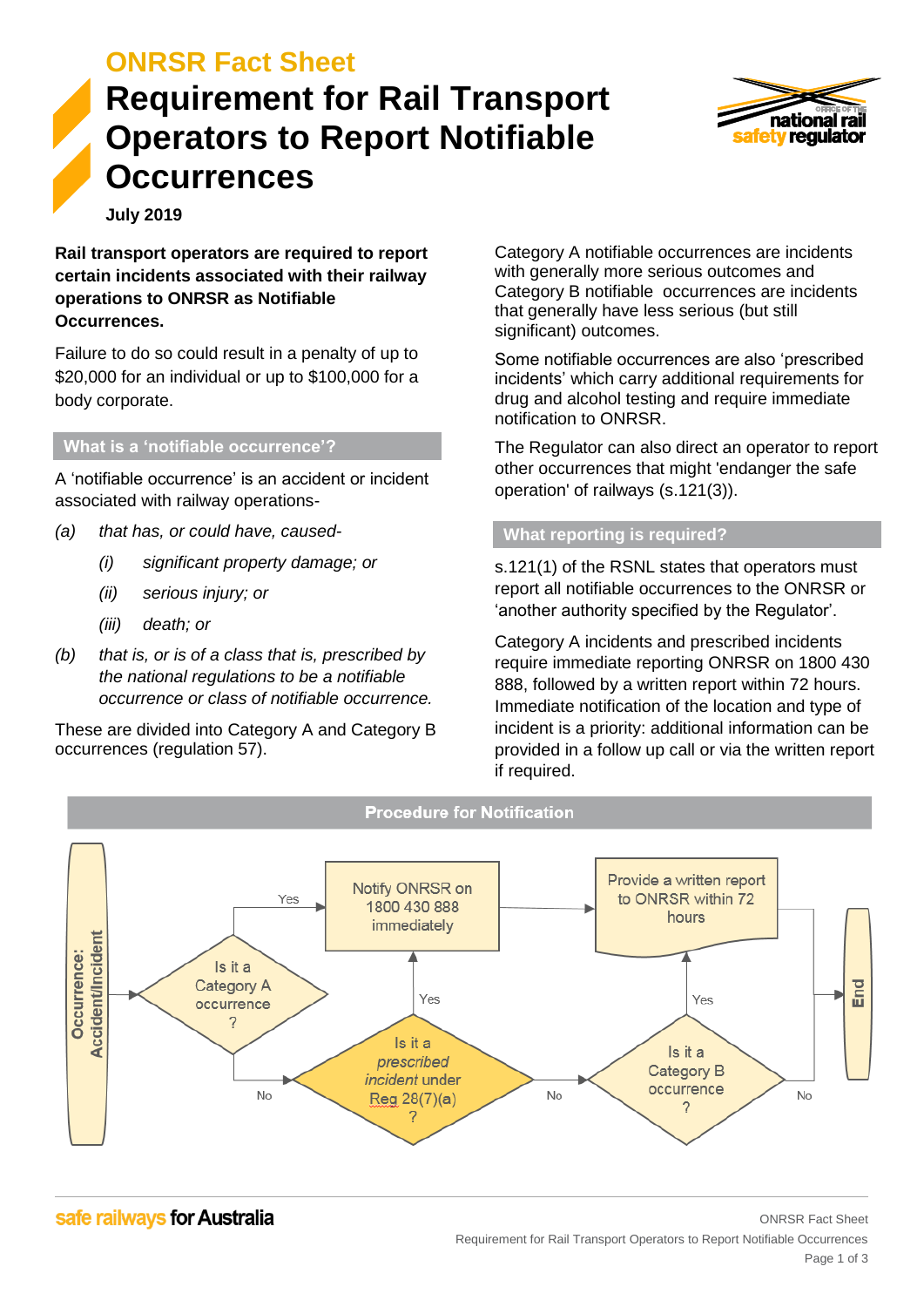## **ONRSR Fact Sheet**

# **Requirement for Rail Transport Operators to Report Notifiable Occurrences**



**July 2019**

**Rail transport operators are required to report certain incidents associated with their railway operations to ONRSR as Notifiable Occurrences.**

Failure to do so could result in a penalty of up to \$20,000 for an individual or up to \$100,000 for a body corporate.

#### **What is a 'notifiable occurrence'?**

A 'notifiable occurrence' is an accident or incident associated with railway operations-

- *(a) that has, or could have, caused-* 
	- *(i) significant property damage; or*
	- *(ii) serious injury; or*
	- *(iii) death; or*
- *(b) that is, or is of a class that is, prescribed by the national regulations to be a notifiable occurrence or class of notifiable occurrence.*

These are divided into Category A and Category B occurrences (regulation 57).

Category A notifiable occurrences are incidents with generally more serious outcomes and Category B notifiable occurrences are incidents that generally have less serious (but still significant) outcomes.

Some notifiable occurrences are also 'prescribed incidents' which carry additional requirements for drug and alcohol testing and require immediate notification to ONRSR.

The Regulator can also direct an operator to report other occurrences that might 'endanger the safe operation' of railways (s.121(3)).

## **What reporting is required?**

s.121(1) of the RSNL states that operators must report all notifiable occurrences to the ONRSR or 'another authority specified by the Regulator'.

Category A incidents and prescribed incidents require immediate reporting ONRSR on 1800 430 888, followed by a written report within 72 hours. Immediate notification of the location and type of incident is a priority: additional information can be provided in a follow up call or via the written report if required.



safe railways for Australia

## ONRSR Fact Sheet Requirement for Rail Transport Operators to Report Notifiable Occurrences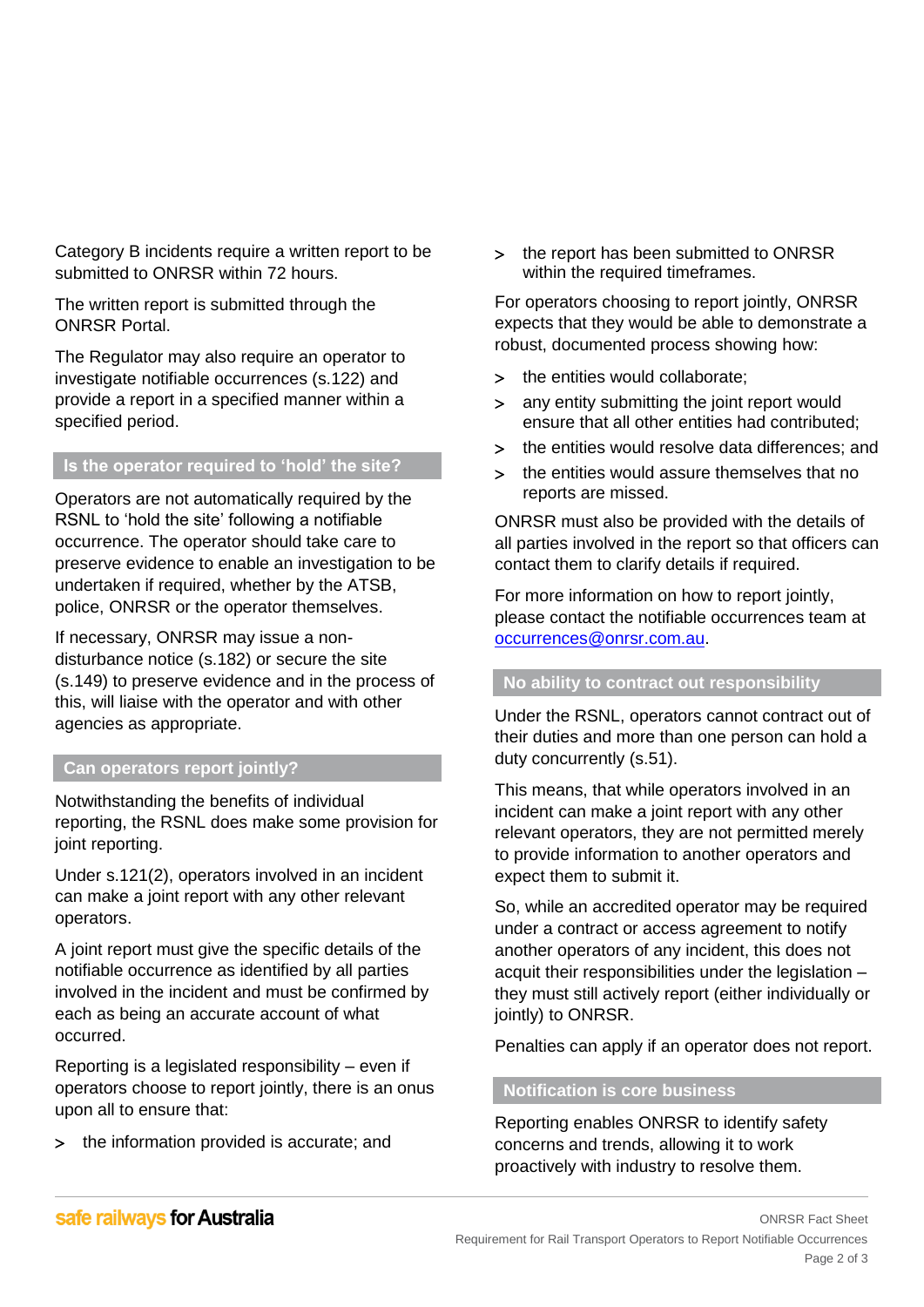Category B incidents require a written report to be submitted to ONRSR within 72 hours.

The written report is submitted through the ONRSR Portal.

The Regulator may also require an operator to investigate notifiable occurrences (s.122) and provide a report in a specified manner within a specified period.

## **Is the operator required to 'hold' the site?**

Operators are not automatically required by the RSNL to 'hold the site' following a notifiable occurrence. The operator should take care to preserve evidence to enable an investigation to be undertaken if required, whether by the ATSB, police, ONRSR or the operator themselves.

If necessary, ONRSR may issue a nondisturbance notice (s.182) or secure the site (s.149) to preserve evidence and in the process of this, will liaise with the operator and with other agencies as appropriate.

#### **Can operators report jointly?**

Notwithstanding the benefits of individual reporting, the RSNL does make some provision for joint reporting.

Under s.121(2), operators involved in an incident can make a joint report with any other relevant operators.

A joint report must give the specific details of the notifiable occurrence as identified by all parties involved in the incident and must be confirmed by each as being an accurate account of what occurred.

Reporting is a legislated responsibility – even if operators choose to report jointly, there is an onus upon all to ensure that:

> the information provided is accurate; and

> the report has been submitted to ONRSR within the required timeframes.

For operators choosing to report jointly, ONRSR expects that they would be able to demonstrate a robust, documented process showing how:

- > the entities would collaborate;
- any entity submitting the joint report would ensure that all other entities had contributed;
- the entities would resolve data differences; and
- > the entities would assure themselves that no reports are missed.

ONRSR must also be provided with the details of all parties involved in the report so that officers can contact them to clarify details if required.

For more information on how to report jointly, please contact the notifiable occurrences team at [occurrences@onrsr.com.au.](mailto:occurrences@onrsr.com.au)

#### **No ability to contract out responsibility**

Under the RSNL, operators cannot contract out of their duties and more than one person can hold a duty concurrently (s.51).

This means, that while operators involved in an incident can make a joint report with any other relevant operators, they are not permitted merely to provide information to another operators and expect them to submit it.

So, while an accredited operator may be required under a contract or access agreement to notify another operators of any incident, this does not acquit their responsibilities under the legislation – they must still actively report (either individually or jointly) to ONRSR.

Penalties can apply if an operator does not report.

#### **Notification is core business**

Reporting enables ONRSR to identify safety concerns and trends, allowing it to work proactively with industry to resolve them.